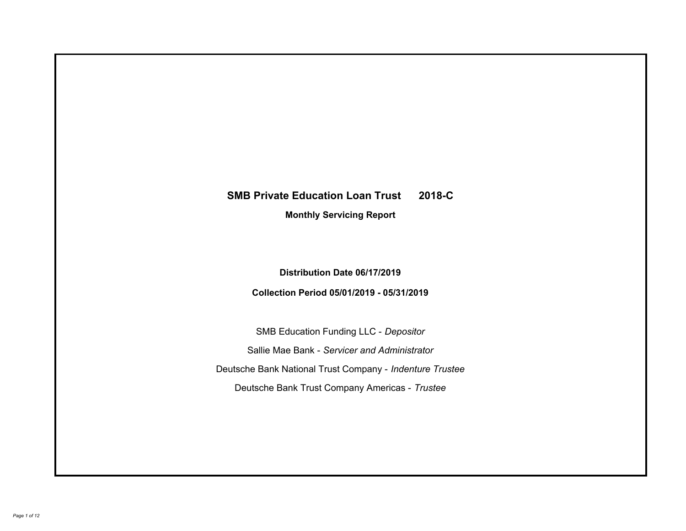# **SMB Private Education Loan Trust 2018-C Monthly Servicing Report**

## **Distribution Date 06/17/2019**

## **Collection Period 05/01/2019 - 05/31/2019**

SMB Education Funding LLC - *Depositor* Sallie Mae Bank - *Servicer and Administrator* Deutsche Bank National Trust Company - *Indenture Trustee* Deutsche Bank Trust Company Americas - *Trustee*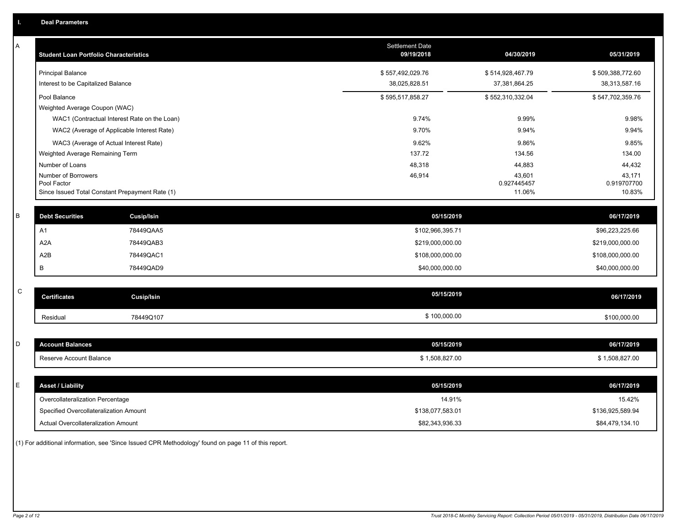| Α           | <b>Student Loan Portfolio Characteristics</b>   |                                              | Settlement Date<br>09/19/2018 | 04/30/2019            | 05/31/2019            |
|-------------|-------------------------------------------------|----------------------------------------------|-------------------------------|-----------------------|-----------------------|
|             | <b>Principal Balance</b>                        |                                              | \$557,492,029.76              | \$514,928,467.79      | \$509,388,772.60      |
|             | Interest to be Capitalized Balance              |                                              | 38,025,828.51                 | 37,381,864.25         | 38,313,587.16         |
|             | Pool Balance                                    |                                              | \$595,517,858.27              | \$552,310,332.04      | \$547,702,359.76      |
|             | Weighted Average Coupon (WAC)                   |                                              |                               |                       |                       |
|             |                                                 | WAC1 (Contractual Interest Rate on the Loan) | 9.74%                         | 9.99%                 | 9.98%                 |
|             | WAC2 (Average of Applicable Interest Rate)      |                                              | 9.70%                         | 9.94%                 | 9.94%                 |
|             | WAC3 (Average of Actual Interest Rate)          |                                              | 9.62%                         | 9.86%                 | 9.85%                 |
|             | Weighted Average Remaining Term                 |                                              | 137.72                        | 134.56                | 134.00                |
|             | Number of Loans                                 |                                              | 48,318                        | 44,883                | 44,432                |
|             | Number of Borrowers<br>Pool Factor              |                                              | 46,914                        | 43,601<br>0.927445457 | 43,171<br>0.919707700 |
|             | Since Issued Total Constant Prepayment Rate (1) |                                              |                               | 11.06%                | 10.83%                |
|             |                                                 |                                              |                               |                       |                       |
| B           | <b>Debt Securities</b>                          | <b>Cusip/Isin</b>                            | 05/15/2019                    |                       | 06/17/2019            |
|             | A1                                              | 78449QAA5                                    | \$102,966,395.71              |                       | \$96,223,225.66       |
|             | A <sub>2</sub> A                                | 78449QAB3                                    | \$219,000,000.00              |                       | \$219,000,000.00      |
|             | A2B                                             | 78449QAC1                                    | \$108,000,000.00              |                       | \$108,000,000.00      |
|             | B                                               | 78449QAD9                                    | \$40,000,000.00               |                       | \$40,000,000.00       |
|             |                                                 |                                              |                               |                       |                       |
| $\mathsf C$ | <b>Certificates</b>                             | Cusip/Isin                                   | 05/15/2019                    |                       | 06/17/2019            |
|             | Residual                                        | 78449Q107                                    | \$100,000.00                  |                       | \$100,000.00          |
|             |                                                 |                                              |                               |                       |                       |
| D           | <b>Account Balances</b>                         |                                              | 05/15/2019                    |                       | 06/17/2019            |
|             | Reserve Account Balance                         |                                              | \$1,508,827.00                |                       | \$1,508,827.00        |
|             |                                                 |                                              |                               |                       |                       |
| Е           | <b>Asset / Liability</b>                        |                                              | 05/15/2019                    |                       | 06/17/2019            |
|             | Overcollateralization Percentage                |                                              | 14.91%                        |                       | 15.42%                |
|             | Specified Overcollateralization Amount          |                                              | \$138,077,583.01              |                       | \$136,925,589.94      |
|             | Actual Overcollateralization Amount             |                                              | \$82,343,936.33               |                       | \$84,479,134.10       |

(1) For additional information, see 'Since Issued CPR Methodology' found on page 11 of this report.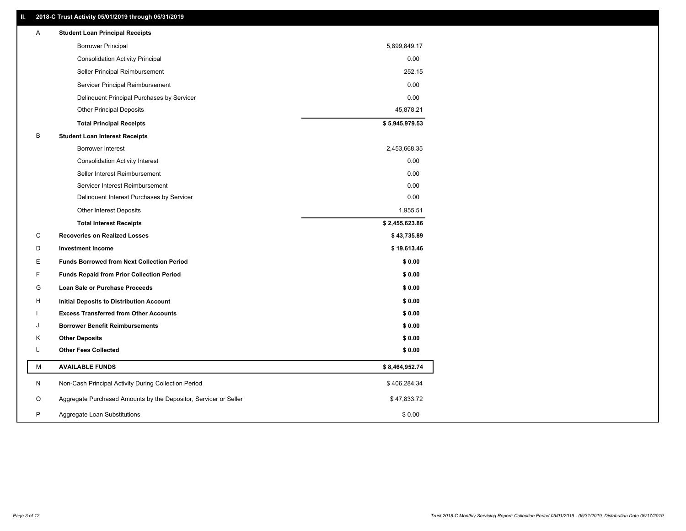#### **II. 2018-C Trust Activity 05/01/2019 through 05/31/2019**

| <b>Borrower Principal</b><br>5,899,849.17<br>0.00<br><b>Consolidation Activity Principal</b><br>252.15<br>Seller Principal Reimbursement<br>0.00<br>Servicer Principal Reimbursement<br>0.00<br>Delinquent Principal Purchases by Servicer<br>45,878.21<br><b>Other Principal Deposits</b> |  |
|--------------------------------------------------------------------------------------------------------------------------------------------------------------------------------------------------------------------------------------------------------------------------------------------|--|
|                                                                                                                                                                                                                                                                                            |  |
|                                                                                                                                                                                                                                                                                            |  |
|                                                                                                                                                                                                                                                                                            |  |
|                                                                                                                                                                                                                                                                                            |  |
|                                                                                                                                                                                                                                                                                            |  |
|                                                                                                                                                                                                                                                                                            |  |
| \$5,945,979.53<br><b>Total Principal Receipts</b>                                                                                                                                                                                                                                          |  |
| в<br><b>Student Loan Interest Receipts</b>                                                                                                                                                                                                                                                 |  |
| <b>Borrower Interest</b><br>2,453,668.35                                                                                                                                                                                                                                                   |  |
| 0.00<br><b>Consolidation Activity Interest</b>                                                                                                                                                                                                                                             |  |
| Seller Interest Reimbursement<br>0.00                                                                                                                                                                                                                                                      |  |
| Servicer Interest Reimbursement<br>0.00                                                                                                                                                                                                                                                    |  |
| 0.00<br>Delinquent Interest Purchases by Servicer                                                                                                                                                                                                                                          |  |
| 1,955.51<br><b>Other Interest Deposits</b>                                                                                                                                                                                                                                                 |  |
| \$2,455,623.86<br><b>Total Interest Receipts</b>                                                                                                                                                                                                                                           |  |
| C<br><b>Recoveries on Realized Losses</b><br>\$43,735.89                                                                                                                                                                                                                                   |  |
| \$19,613.46<br>D<br><b>Investment Income</b>                                                                                                                                                                                                                                               |  |
| <b>Funds Borrowed from Next Collection Period</b><br>\$0.00<br>E.                                                                                                                                                                                                                          |  |
| F.<br><b>Funds Repaid from Prior Collection Period</b><br>\$0.00                                                                                                                                                                                                                           |  |
| G<br>\$0.00<br>Loan Sale or Purchase Proceeds                                                                                                                                                                                                                                              |  |
| \$0.00<br>н<br>Initial Deposits to Distribution Account                                                                                                                                                                                                                                    |  |
| \$0.00<br><b>Excess Transferred from Other Accounts</b>                                                                                                                                                                                                                                    |  |
| <b>Borrower Benefit Reimbursements</b><br>\$0.00<br>J                                                                                                                                                                                                                                      |  |
| Κ<br><b>Other Deposits</b><br>\$0.00                                                                                                                                                                                                                                                       |  |
| Г<br><b>Other Fees Collected</b><br>\$0.00                                                                                                                                                                                                                                                 |  |
| М<br><b>AVAILABLE FUNDS</b><br>\$8,464,952.74                                                                                                                                                                                                                                              |  |
| N<br>Non-Cash Principal Activity During Collection Period<br>\$406,284.34                                                                                                                                                                                                                  |  |
| O<br>Aggregate Purchased Amounts by the Depositor, Servicer or Seller<br>\$47,833.72                                                                                                                                                                                                       |  |
| P<br>Aggregate Loan Substitutions<br>\$0.00                                                                                                                                                                                                                                                |  |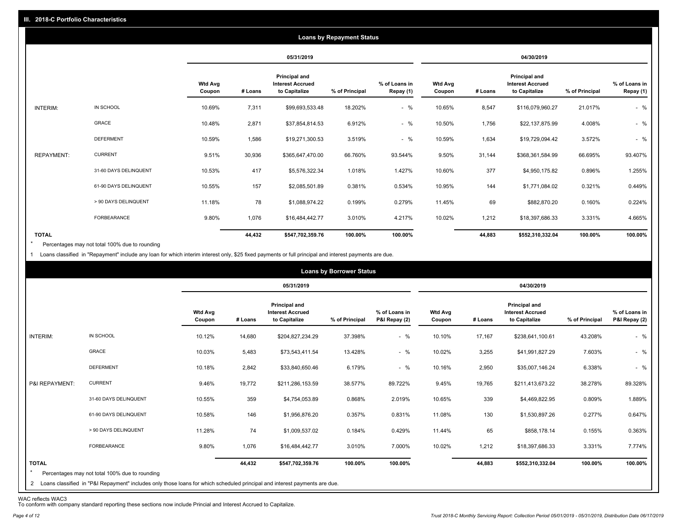|                   |                       |                          |         |                                                           | <b>Loans by Repayment Status</b> |                            |                          |         |                                                           |                |                            |
|-------------------|-----------------------|--------------------------|---------|-----------------------------------------------------------|----------------------------------|----------------------------|--------------------------|---------|-----------------------------------------------------------|----------------|----------------------------|
|                   |                       |                          |         | 05/31/2019                                                |                                  |                            |                          |         | 04/30/2019                                                |                |                            |
|                   |                       | <b>Wtd Avg</b><br>Coupon | # Loans | Principal and<br><b>Interest Accrued</b><br>to Capitalize | % of Principal                   | % of Loans in<br>Repay (1) | <b>Wtd Avg</b><br>Coupon | # Loans | Principal and<br><b>Interest Accrued</b><br>to Capitalize | % of Principal | % of Loans in<br>Repay (1) |
| INTERIM:          | IN SCHOOL             | 10.69%                   | 7,311   | \$99,693,533.48                                           | 18.202%                          | $-$ %                      | 10.65%                   | 8,547   | \$116,079,960.27                                          | 21.017%        | $-$ %                      |
|                   | GRACE                 | 10.48%                   | 2,871   | \$37,854,814.53                                           | 6.912%                           | $-$ %                      | 10.50%                   | 1,756   | \$22,137,875.99                                           | 4.008%         | $-$ %                      |
|                   | <b>DEFERMENT</b>      | 10.59%                   | 1,586   | \$19,271,300.53                                           | 3.519%                           | $-$ %                      | 10.59%                   | 1,634   | \$19,729,094.42                                           | 3.572%         | $-$ %                      |
| <b>REPAYMENT:</b> | <b>CURRENT</b>        | 9.51%                    | 30,936  | \$365,647,470.00                                          | 66.760%                          | 93.544%                    | 9.50%                    | 31,144  | \$368,361,584.99                                          | 66.695%        | 93.407%                    |
|                   | 31-60 DAYS DELINQUENT | 10.53%                   | 417     | \$5,576,322.34                                            | 1.018%                           | 1.427%                     | 10.60%                   | 377     | \$4,950,175.82                                            | 0.896%         | 1.255%                     |
|                   | 61-90 DAYS DELINQUENT | 10.55%                   | 157     | \$2,085,501.89                                            | 0.381%                           | 0.534%                     | 10.95%                   | 144     | \$1,771,084.02                                            | 0.321%         | 0.449%                     |
|                   | > 90 DAYS DELINQUENT  | 11.18%                   | 78      | \$1,088,974.22                                            | 0.199%                           | 0.279%                     | 11.45%                   | 69      | \$882,870.20                                              | 0.160%         | 0.224%                     |
|                   | FORBEARANCE           | 9.80%                    | 1,076   | \$16,484,442.77                                           | 3.010%                           | 4.217%                     | 10.02%                   | 1,212   | \$18,397,686.33                                           | 3.331%         | 4.665%                     |
| <b>TOTAL</b>      |                       |                          | 44,432  | \$547,702,359.76                                          | 100.00%                          | 100.00%                    |                          | 44,883  | \$552,310,332.04                                          | 100.00%        | 100.00%                    |

Percentages may not total 100% due to rounding  $\star$ 

1 Loans classified in "Repayment" include any loan for which interim interest only, \$25 fixed payments or full principal and interest payments are due.

|                         |                                                                                                                              |                          |         |                                                           | <b>Loans by Borrower Status</b> |                                |                          |         |                                                                  |                |                                |
|-------------------------|------------------------------------------------------------------------------------------------------------------------------|--------------------------|---------|-----------------------------------------------------------|---------------------------------|--------------------------------|--------------------------|---------|------------------------------------------------------------------|----------------|--------------------------------|
|                         |                                                                                                                              |                          |         | 05/31/2019                                                |                                 |                                |                          |         | 04/30/2019                                                       |                |                                |
|                         |                                                                                                                              | <b>Wtd Avg</b><br>Coupon | # Loans | Principal and<br><b>Interest Accrued</b><br>to Capitalize | % of Principal                  | % of Loans in<br>P&I Repay (2) | <b>Wtd Avg</b><br>Coupon | # Loans | <b>Principal and</b><br><b>Interest Accrued</b><br>to Capitalize | % of Principal | % of Loans in<br>P&I Repay (2) |
| INTERIM:                | IN SCHOOL                                                                                                                    | 10.12%                   | 14,680  | \$204,827,234.29                                          | 37.398%                         | $-$ %                          | 10.10%                   | 17,167  | \$238,641,100.61                                                 | 43.208%        | $-$ %                          |
|                         | GRACE                                                                                                                        | 10.03%                   | 5,483   | \$73,543,411.54                                           | 13.428%                         | $-$ %                          | 10.02%                   | 3,255   | \$41,991,827.29                                                  | 7.603%         | $-$ %                          |
|                         | <b>DEFERMENT</b>                                                                                                             | 10.18%                   | 2,842   | \$33,840,650.46                                           | 6.179%                          | $-$ %                          | 10.16%                   | 2,950   | \$35,007,146.24                                                  | 6.338%         | $-$ %                          |
| P&I REPAYMENT:          | <b>CURRENT</b>                                                                                                               | 9.46%                    | 19,772  | \$211,286,153.59                                          | 38.577%                         | 89.722%                        | 9.45%                    | 19,765  | \$211,413,673.22                                                 | 38.278%        | 89.328%                        |
|                         | 31-60 DAYS DELINQUENT                                                                                                        | 10.55%                   | 359     | \$4,754,053.89                                            | 0.868%                          | 2.019%                         | 10.65%                   | 339     | \$4,469,822.95                                                   | 0.809%         | 1.889%                         |
|                         | 61-90 DAYS DELINQUENT                                                                                                        | 10.58%                   | 146     | \$1,956,876.20                                            | 0.357%                          | 0.831%                         | 11.08%                   | 130     | \$1,530,897.26                                                   | 0.277%         | 0.647%                         |
|                         | > 90 DAYS DELINQUENT                                                                                                         | 11.28%                   | 74      | \$1,009,537.02                                            | 0.184%                          | 0.429%                         | 11.44%                   | 65      | \$858,178.14                                                     | 0.155%         | 0.363%                         |
|                         | FORBEARANCE                                                                                                                  | 9.80%                    | 1,076   | \$16,484,442.77                                           | 3.010%                          | 7.000%                         | 10.02%                   | 1,212   | \$18,397,686.33                                                  | 3.331%         | 7.774%                         |
| <b>TOTAL</b><br>$\star$ | Percentages may not total 100% due to rounding                                                                               |                          | 44,432  | \$547,702,359.76                                          | 100.00%                         | 100.00%                        |                          | 44,883  | \$552,310,332.04                                                 | 100.00%        | 100.00%                        |
|                         | 2 Loans classified in "P&I Repayment" includes only those loans for which scheduled principal and interest payments are due. |                          |         |                                                           |                                 |                                |                          |         |                                                                  |                |                                |

WAC reflects WAC3 To conform with company standard reporting these sections now include Princial and Interest Accrued to Capitalize.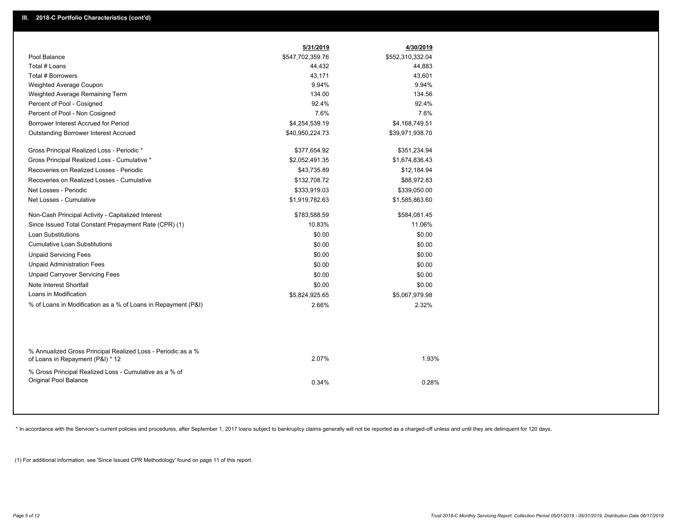|                                                                                                  | 5/31/2019        | 4/30/2019        |  |
|--------------------------------------------------------------------------------------------------|------------------|------------------|--|
| Pool Balance                                                                                     | \$547,702,359.76 | \$552,310,332.04 |  |
| Total # Loans                                                                                    | 44,432           | 44,883           |  |
| Total # Borrowers                                                                                | 43,171           | 43,601           |  |
| Weighted Average Coupon                                                                          | 9.94%            | 9.94%            |  |
| Weighted Average Remaining Term                                                                  | 134.00           | 134.56           |  |
| Percent of Pool - Cosigned                                                                       | 92.4%            | 92.4%            |  |
| Percent of Pool - Non Cosigned                                                                   | 7.6%             | 7.6%             |  |
| Borrower Interest Accrued for Period                                                             | \$4,254,539.19   | \$4,168,749.51   |  |
| Outstanding Borrower Interest Accrued                                                            | \$40,950,224.73  | \$39,971,938.70  |  |
| Gross Principal Realized Loss - Periodic *                                                       | \$377,654.92     | \$351,234.94     |  |
| Gross Principal Realized Loss - Cumulative *                                                     | \$2,052,491.35   | \$1,674,836.43   |  |
| Recoveries on Realized Losses - Periodic                                                         | \$43,735.89      | \$12,184.94      |  |
| Recoveries on Realized Losses - Cumulative                                                       | \$132,708.72     | \$88,972.83      |  |
| Net Losses - Periodic                                                                            | \$333,919.03     | \$339,050.00     |  |
| Net Losses - Cumulative                                                                          | \$1,919,782.63   | \$1,585,863.60   |  |
| Non-Cash Principal Activity - Capitalized Interest                                               | \$783,588.59     | \$584,081.45     |  |
| Since Issued Total Constant Prepayment Rate (CPR) (1)                                            | 10.83%           | 11.06%           |  |
| <b>Loan Substitutions</b>                                                                        | \$0.00           | \$0.00           |  |
| <b>Cumulative Loan Substitutions</b>                                                             | \$0.00           | \$0.00           |  |
| <b>Unpaid Servicing Fees</b>                                                                     | \$0.00           | \$0.00           |  |
| <b>Unpaid Administration Fees</b>                                                                | \$0.00           | \$0.00           |  |
| <b>Unpaid Carryover Servicing Fees</b>                                                           | \$0.00           | \$0.00           |  |
| Note Interest Shortfall                                                                          | \$0.00           | \$0.00           |  |
| Loans in Modification                                                                            | \$5,824,925.65   | \$5,067,979.98   |  |
| % of Loans in Modification as a % of Loans in Repayment (P&I)                                    | 2.66%            | 2.32%            |  |
|                                                                                                  |                  |                  |  |
| % Annualized Gross Principal Realized Loss - Periodic as a %<br>of Loans in Repayment (P&I) * 12 | 2.07%            | 1.93%            |  |
| % Gross Principal Realized Loss - Cumulative as a % of                                           |                  |                  |  |
| <b>Original Pool Balance</b>                                                                     | 0.34%            | 0.28%            |  |
|                                                                                                  |                  |                  |  |

\* In accordance with the Servicer's current policies and procedures, after September 1, 2017 loans subject to bankruptcy claims generally will not be reported as a charged-off unless and until they are delinquent for 120 d

(1) For additional information, see 'Since Issued CPR Methodology' found on page 11 of this report.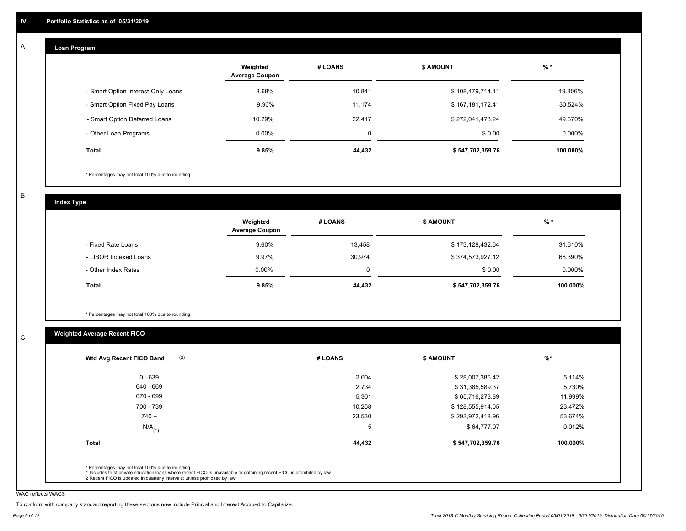#### **Loan Program**  A

|                                    | Weighted<br><b>Average Coupon</b> | # LOANS | <b>\$ AMOUNT</b> | $%$ *     |
|------------------------------------|-----------------------------------|---------|------------------|-----------|
| - Smart Option Interest-Only Loans | 8.68%                             | 10.841  | \$108,479,714.11 | 19.806%   |
| - Smart Option Fixed Pay Loans     | 9.90%                             | 11.174  | \$167,181,172.41 | 30.524%   |
| - Smart Option Deferred Loans      | 10.29%                            | 22,417  | \$272,041,473.24 | 49.670%   |
| - Other Loan Programs              | $0.00\%$                          | 0       | \$0.00           | $0.000\%$ |
| <b>Total</b>                       | 9.85%                             | 44,432  | \$547,702,359.76 | 100.000%  |

\* Percentages may not total 100% due to rounding

B

C

**Index Type**

|                       | Weighted<br><b>Average Coupon</b> | # LOANS     | <b>\$ AMOUNT</b> | $%$ *     |
|-----------------------|-----------------------------------|-------------|------------------|-----------|
| - Fixed Rate Loans    | 9.60%                             | 13,458      | \$173,128,432.64 | 31.610%   |
| - LIBOR Indexed Loans | 9.97%                             | 30.974      | \$374,573,927.12 | 68.390%   |
| - Other Index Rates   | $0.00\%$                          | $\mathbf 0$ | \$0.00           | $0.000\%$ |
| Total                 | 9.85%                             | 44,432      | \$547,702,359.76 | 100.000%  |

\* Percentages may not total 100% due to rounding

#### **Weighted Average Recent FICO**

| $0 - 639$<br>640 - 669 | 2,604<br>2,734 | \$28,007,386.42  | 5.114%   |
|------------------------|----------------|------------------|----------|
|                        |                |                  |          |
|                        |                | \$31,385,589.37  | 5.730%   |
| 670 - 699              | 5,301          | \$65,716,273.89  | 11.999%  |
| 700 - 739              | 10,258         | \$128,555,914.05 | 23.472%  |
| $740 +$                | 23,530         | \$293,972,418.96 | 53.674%  |
| $N/A$ <sub>(1)</sub>   | 5              | \$64,777.07      | 0.012%   |
| Total                  | 44,432         | \$547,702,359.76 | 100.000% |

WAC reflects WAC3

To conform with company standard reporting these sections now include Princial and Interest Accrued to Capitalize.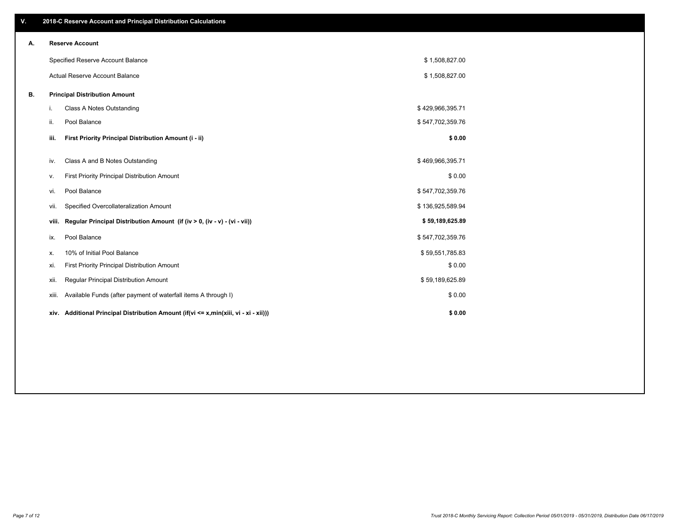| V. |       | 2018-C Reserve Account and Principal Distribution Calculations                  |                  |  |
|----|-------|---------------------------------------------------------------------------------|------------------|--|
| Α. |       | <b>Reserve Account</b>                                                          |                  |  |
|    |       | Specified Reserve Account Balance                                               | \$1,508,827.00   |  |
|    |       | Actual Reserve Account Balance                                                  | \$1,508,827.00   |  |
| В. |       | <b>Principal Distribution Amount</b>                                            |                  |  |
|    | i.    | Class A Notes Outstanding                                                       | \$429,966,395.71 |  |
|    | ii.   | Pool Balance                                                                    | \$547,702,359.76 |  |
|    | iii.  | First Priority Principal Distribution Amount (i - ii)                           | \$0.00           |  |
|    | iv.   | Class A and B Notes Outstanding                                                 | \$469,966,395.71 |  |
|    | ٧.    | First Priority Principal Distribution Amount                                    | \$0.00           |  |
|    | vi.   | Pool Balance                                                                    | \$547,702,359.76 |  |
|    | VII.  | Specified Overcollateralization Amount                                          | \$136,925,589.94 |  |
|    | viii. | Regular Principal Distribution Amount (if (iv > 0, (iv - v) - (vi - vii))       | \$59,189,625.89  |  |
|    | ix.   | Pool Balance                                                                    | \$547,702,359.76 |  |
|    | Х.    | 10% of Initial Pool Balance                                                     | \$59,551,785.83  |  |
|    | xi.   | First Priority Principal Distribution Amount                                    | \$0.00           |  |
|    | xii.  | Regular Principal Distribution Amount                                           | \$59,189,625.89  |  |
|    | xiii. | Available Funds (after payment of waterfall items A through I)                  | \$0.00           |  |
|    | xiv.  | Additional Principal Distribution Amount (if(vi <= x,min(xiii, vi - xi - xii))) | \$0.00           |  |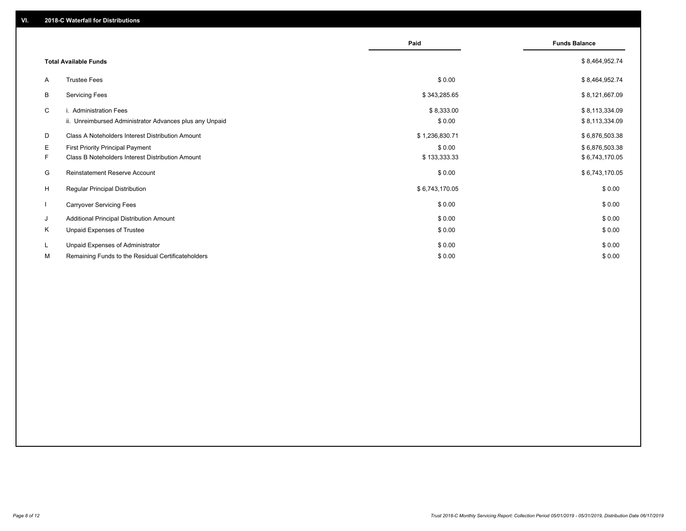|                          |                                                                                             | Paid                   | <b>Funds Balance</b>             |
|--------------------------|---------------------------------------------------------------------------------------------|------------------------|----------------------------------|
|                          | <b>Total Available Funds</b>                                                                |                        | \$8,464,952.74                   |
| A                        | <b>Trustee Fees</b>                                                                         | \$0.00                 | \$8,464,952.74                   |
| В                        | <b>Servicing Fees</b>                                                                       | \$343,285.65           | \$8,121,667.09                   |
| C                        | i. Administration Fees<br>ii. Unreimbursed Administrator Advances plus any Unpaid           | \$8,333.00<br>\$0.00   | \$8,113,334.09<br>\$8,113,334.09 |
| D                        | Class A Noteholders Interest Distribution Amount                                            | \$1,236,830.71         | \$6,876,503.38                   |
| Е<br>F.                  | <b>First Priority Principal Payment</b><br>Class B Noteholders Interest Distribution Amount | \$0.00<br>\$133,333.33 | \$6,876,503.38<br>\$6,743,170.05 |
| G                        | Reinstatement Reserve Account                                                               | \$0.00                 | \$6,743,170.05                   |
| H                        | <b>Regular Principal Distribution</b>                                                       | \$6,743,170.05         | \$0.00                           |
| $\overline{\phantom{a}}$ | <b>Carryover Servicing Fees</b>                                                             | \$0.00                 | \$0.00                           |
| J                        | Additional Principal Distribution Amount                                                    | \$0.00                 | \$0.00                           |
| Κ                        | Unpaid Expenses of Trustee                                                                  | \$0.00                 | \$0.00                           |
| L<br>м                   | Unpaid Expenses of Administrator<br>Remaining Funds to the Residual Certificateholders      | \$0.00<br>\$0.00       | \$0.00<br>\$0.00                 |
|                          |                                                                                             |                        |                                  |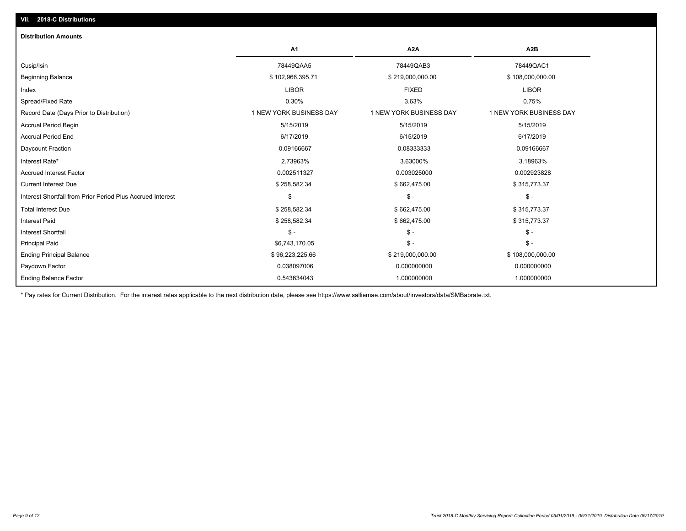| <b>Distribution Amounts</b>                                |                         |                         |                         |
|------------------------------------------------------------|-------------------------|-------------------------|-------------------------|
|                                                            | A <sub>1</sub>          | A <sub>2</sub> A        | A <sub>2</sub> B        |
| Cusip/Isin                                                 | 78449QAA5               | 78449QAB3               | 78449QAC1               |
| <b>Beginning Balance</b>                                   | \$102,966,395.71        | \$219,000,000.00        | \$108,000,000.00        |
| Index                                                      | <b>LIBOR</b>            | <b>FIXED</b>            | <b>LIBOR</b>            |
| Spread/Fixed Rate                                          | 0.30%                   | 3.63%                   | 0.75%                   |
| Record Date (Days Prior to Distribution)                   | 1 NEW YORK BUSINESS DAY | 1 NEW YORK BUSINESS DAY | 1 NEW YORK BUSINESS DAY |
| <b>Accrual Period Begin</b>                                | 5/15/2019               | 5/15/2019               | 5/15/2019               |
| <b>Accrual Period End</b>                                  | 6/17/2019               | 6/15/2019               | 6/17/2019               |
| Daycount Fraction                                          | 0.09166667              | 0.08333333              | 0.09166667              |
| Interest Rate*                                             | 2.73963%                | 3.63000%                | 3.18963%                |
| <b>Accrued Interest Factor</b>                             | 0.002511327             | 0.003025000             | 0.002923828             |
| <b>Current Interest Due</b>                                | \$258,582.34            | \$662,475.00            | \$315,773.37            |
| Interest Shortfall from Prior Period Plus Accrued Interest | $\mathsf{\$}$ -         | $\mathsf{\$}$ -         | $\mathsf{\$}$ -         |
| <b>Total Interest Due</b>                                  | \$258,582.34            | \$662,475.00            | \$315,773.37            |
| <b>Interest Paid</b>                                       | \$258,582.34            | \$662,475.00            | \$315,773.37            |
| <b>Interest Shortfall</b>                                  | $\frac{2}{3}$ -         | $$ -$                   | $\mathcal{S}$ -         |
| <b>Principal Paid</b>                                      | \$6,743,170.05          | $$ -$                   | $\mathsf{\$}$ -         |
| <b>Ending Principal Balance</b>                            | \$96,223,225.66         | \$219,000,000.00        | \$108,000,000.00        |
| Paydown Factor                                             | 0.038097006             | 0.000000000             | 0.000000000             |
| <b>Ending Balance Factor</b>                               | 0.543634043             | 1.000000000             | 1.000000000             |

\* Pay rates for Current Distribution. For the interest rates applicable to the next distribution date, please see https://www.salliemae.com/about/investors/data/SMBabrate.txt.

**VII. 2018-C Distributions**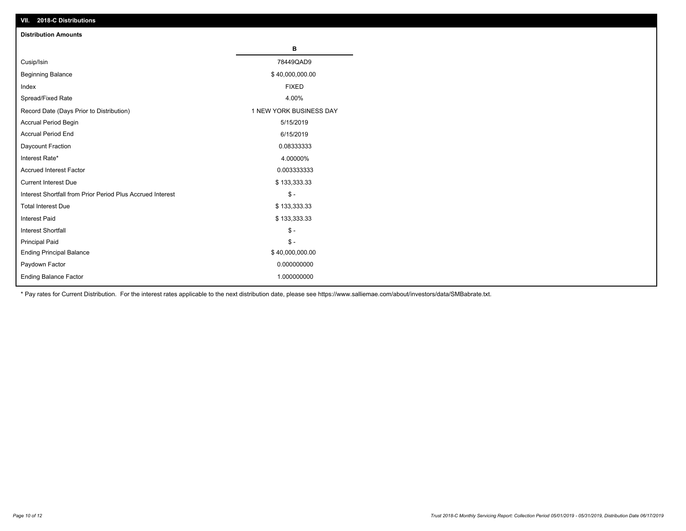| VII. 2018-C Distributions                                  |                         |
|------------------------------------------------------------|-------------------------|
| <b>Distribution Amounts</b>                                |                         |
|                                                            | в                       |
| Cusip/Isin                                                 | 78449QAD9               |
| <b>Beginning Balance</b>                                   | \$40,000,000.00         |
| Index                                                      | <b>FIXED</b>            |
| Spread/Fixed Rate                                          | 4.00%                   |
| Record Date (Days Prior to Distribution)                   | 1 NEW YORK BUSINESS DAY |
| Accrual Period Begin                                       | 5/15/2019               |
| <b>Accrual Period End</b>                                  | 6/15/2019               |
| Daycount Fraction                                          | 0.08333333              |
| Interest Rate*                                             | 4.00000%                |
| <b>Accrued Interest Factor</b>                             | 0.003333333             |
| <b>Current Interest Due</b>                                | \$133,333.33            |
| Interest Shortfall from Prior Period Plus Accrued Interest | $$ -$                   |
| <b>Total Interest Due</b>                                  | \$133,333.33            |
| Interest Paid                                              | \$133,333.33            |
| Interest Shortfall                                         | $$ -$                   |
| <b>Principal Paid</b>                                      | $$ -$                   |
| <b>Ending Principal Balance</b>                            | \$40,000,000.00         |
| Paydown Factor                                             | 0.000000000             |
| <b>Ending Balance Factor</b>                               | 1.000000000             |

\* Pay rates for Current Distribution. For the interest rates applicable to the next distribution date, please see https://www.salliemae.com/about/investors/data/SMBabrate.txt.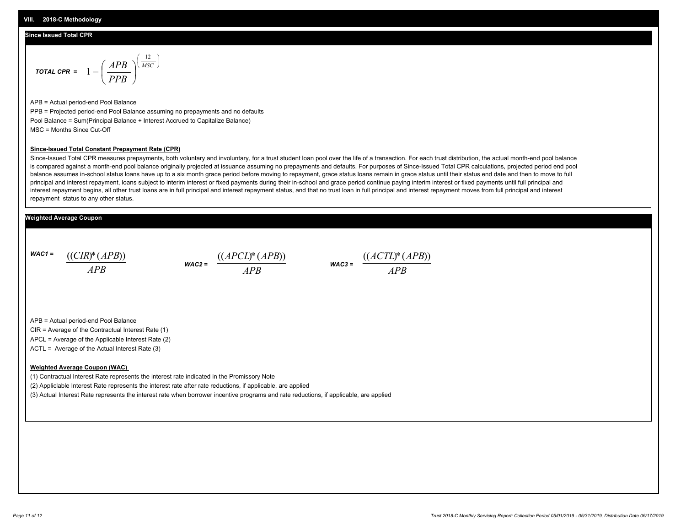#### **Since Issued Total CPR**

$$
\text{total CPR} = 1 - \left(\frac{APB}{PPB}\right)^{\left(\frac{12}{MSC}\right)}
$$

APB = Actual period-end Pool Balance PPB = Projected period-end Pool Balance assuming no prepayments and no defaults Pool Balance = Sum(Principal Balance + Interest Accrued to Capitalize Balance) MSC = Months Since Cut-Off

#### **Since-Issued Total Constant Prepayment Rate (CPR)**

Since-Issued Total CPR measures prepayments, both voluntary and involuntary, for a trust student loan pool over the life of a transaction. For each trust distribution, the actual month-end pool balance is compared against a month-end pool balance originally projected at issuance assuming no prepayments and defaults. For purposes of Since-Issued Total CPR calculations, projected period end pool balance assumes in-school status loans have up to a six month grace period before moving to repayment, grace status loans remain in grace status until their status end date and then to move to full principal and interest repayment, loans subject to interim interest or fixed payments during their in-school and grace period continue paying interim interest or fixed payments until full principal and interest repayment begins, all other trust loans are in full principal and interest repayment status, and that no trust loan in full principal and interest repayment moves from full principal and interest repayment status to any other status.

#### **Weighted Average Coupon**

*WAC1 = APB* ((*CIR*)\*(*APB*))

*WAC2 = APB*



APB = Actual period-end Pool Balance

CIR = Average of the Contractual Interest Rate (1)

APCL = Average of the Applicable Interest Rate (2)

ACTL = Average of the Actual Interest Rate (3)

#### **Weighted Average Coupon (WAC)**

(1) Contractual Interest Rate represents the interest rate indicated in the Promissory Note

(2) Appliclable Interest Rate represents the interest rate after rate reductions, if applicable, are applied

(3) Actual Interest Rate represents the interest rate when borrower incentive programs and rate reductions, if applicable, are applied